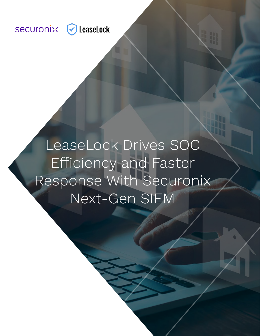# securonix GleaseLock

LeaseLock Drives SOC Efficiency and Faster Response With Securonix Next-Gen SIEM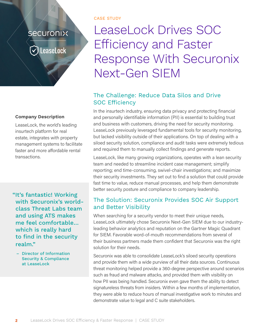### sécuronix

LeaseLock

#### **Company Description**

LeaseLock, the world's leading insurtech platform for real estate, integrates with property management systems to facilitate faster and more affordable rental transactions.

"It's fantastic! Working with Securonix's worldclass Threat Labs team and using ATS makes me feel comfortable… which is really hard to find in the security realm."

– Director of Information Security & Compliance at LeaseLock

CASE STUDY

## LeaseLock Drives SOC Efficiency and Faster Response With Securonix Next-Gen SIEM

#### The Challenge: Reduce Data Silos and Drive SOC Efficiency

In the insurtech industry, ensuring data privacy and protecting financial and personally identifiable information (PII) is essential to building trust and business with customers, driving the need for security monitoring. LeaseLock previously leveraged fundamental tools for security monitoring, but lacked visibility outside of their applications. On top of dealing with a siloed security solution, compliance and audit tasks were extremely tedious and required them to manually collect findings and generate reports.

LeaseLock, like many growing organizations, operates with a lean security team and needed to streamline incident case management; simplify reporting; end time-consuming, swivel-chair investigations; and maximize their security investments. They set out to find a solution that could provide fast time to value, reduce manual processes, and help them demonstrate better security posture and compliance to company leadership.

#### The Solution: Securonix Provides SOC Air Support and Better Visibility

When searching for a security vendor to meet their unique needs, LeaseLock ultimately chose Securonix Next-Gen SIEM due to our industryleading behavior analytics and reputation on the Gartner Magic Quadrant for SIEM. Favorable word-of-mouth recommendations from several of their business partners made them confident that Securonix was the right solution for their needs.

Securonix was able to consolidate LeaseLock's siloed security operations and provide them with a wide purview of all their data sources. Continuous threat monitoring helped provide a 360-degree perspective around scenarios such as fraud and malware attacks, and provided them with visibility on how PII was being handled. Securonix even gave them the ability to detect signatureless threats from insiders. Within a few months of implementation, they were able to reduce hours of manual investigative work to minutes and demonstrate value to legal and C suite stakeholders.